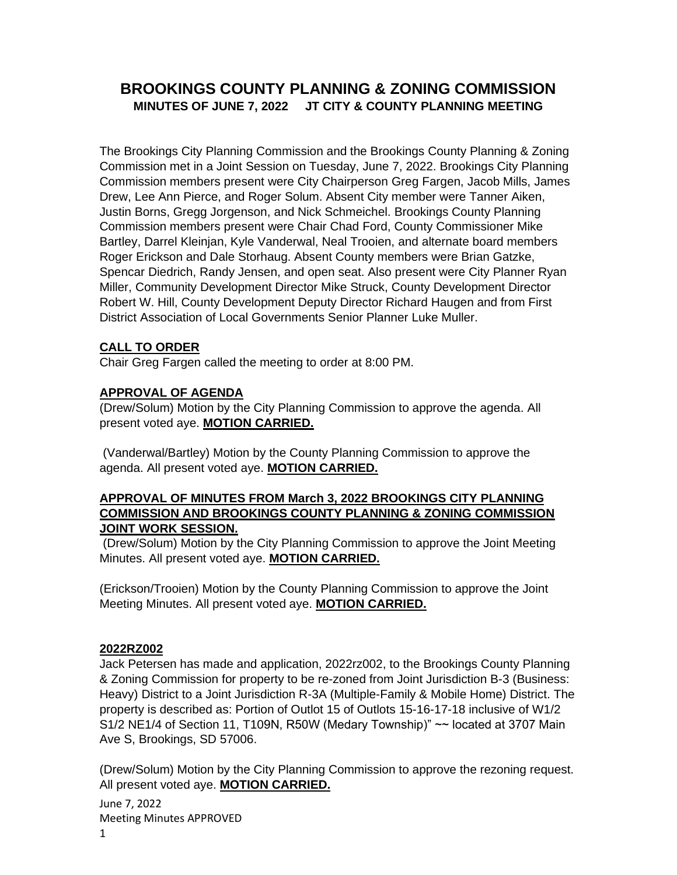# **BROOKINGS COUNTY PLANNING & ZONING COMMISSION MINUTES OF JUNE 7, 2022 JT CITY & COUNTY PLANNING MEETING**

The Brookings City Planning Commission and the Brookings County Planning & Zoning Commission met in a Joint Session on Tuesday, June 7, 2022. Brookings City Planning Commission members present were City Chairperson Greg Fargen, Jacob Mills, James Drew, Lee Ann Pierce, and Roger Solum. Absent City member were Tanner Aiken, Justin Borns, Gregg Jorgenson, and Nick Schmeichel. Brookings County Planning Commission members present were Chair Chad Ford, County Commissioner Mike Bartley, Darrel Kleinjan, Kyle Vanderwal, Neal Trooien, and alternate board members Roger Erickson and Dale Storhaug. Absent County members were Brian Gatzke, Spencar Diedrich, Randy Jensen, and open seat. Also present were City Planner Ryan Miller, Community Development Director Mike Struck, County Development Director Robert W. Hill, County Development Deputy Director Richard Haugen and from First District Association of Local Governments Senior Planner Luke Muller.

## **CALL TO ORDER**

Chair Greg Fargen called the meeting to order at 8:00 PM.

## **APPROVAL OF AGENDA**

(Drew/Solum) Motion by the City Planning Commission to approve the agenda. All present voted aye. **MOTION CARRIED.**

(Vanderwal/Bartley) Motion by the County Planning Commission to approve the agenda. All present voted aye. **MOTION CARRIED.**

#### **APPROVAL OF MINUTES FROM March 3, 2022 BROOKINGS CITY PLANNING COMMISSION AND BROOKINGS COUNTY PLANNING & ZONING COMMISSION JOINT WORK SESSION.**

(Drew/Solum) Motion by the City Planning Commission to approve the Joint Meeting Minutes. All present voted aye. **MOTION CARRIED.**

(Erickson/Trooien) Motion by the County Planning Commission to approve the Joint Meeting Minutes. All present voted aye. **MOTION CARRIED.**

### **2022RZ002**

Jack Petersen has made and application, 2022rz002, to the Brookings County Planning & Zoning Commission for property to be re-zoned from Joint Jurisdiction B-3 (Business: Heavy) District to a Joint Jurisdiction R-3A (Multiple-Family & Mobile Home) District. The property is described as: Portion of Outlot 15 of Outlots 15-16-17-18 inclusive of W1/2 S1/2 NE1/4 of Section 11, T109N, R50W (Medary Township)" ~~ located at 3707 Main Ave S, Brookings, SD 57006.

(Drew/Solum) Motion by the City Planning Commission to approve the rezoning request. All present voted aye. **MOTION CARRIED.**

June 7, 2022 Meeting Minutes APPROVED